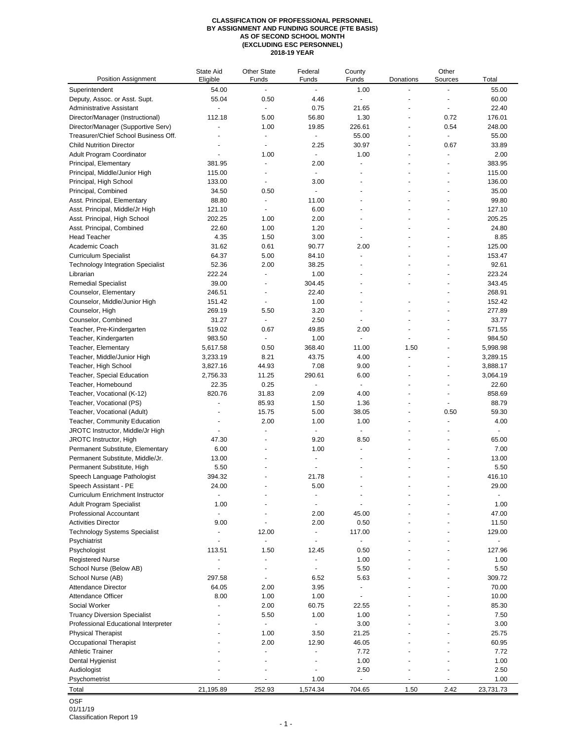## **CLASSIFICATION OF PROFESSIONAL PERSONNEL BY ASSIGNMENT AND FUNDING SOURCE (FTE BASIS) AS OF SECOND SCHOOL MONTH (EXCLUDING ESC PERSONNEL) 2018-19 YEAR**

| <b>Position Assignment</b>               | State Aid<br>Eligible    | <b>Other State</b><br>Funds | Federal<br>Funds         | County<br>Funds          | Donations            | Other<br>Sources         | Total     |
|------------------------------------------|--------------------------|-----------------------------|--------------------------|--------------------------|----------------------|--------------------------|-----------|
| Superintendent                           | 54.00                    |                             |                          | 1.00                     |                      |                          | 55.00     |
| Deputy, Assoc. or Asst. Supt.            | 55.04                    | 0.50                        | 4.46                     |                          |                      |                          | 60.00     |
| Administrative Assistant                 | ÷,                       | ä,                          | 0.75                     | 21.65                    | ÷,                   | ÷,                       | 22.40     |
| Director/Manager (Instructional)         | 112.18                   | 5.00                        | 56.80                    | 1.30                     |                      | 0.72                     | 176.01    |
| Director/Manager (Supportive Serv)       | $\tilde{\phantom{a}}$    | 1.00                        | 19.85                    | 226.61                   | ÷,                   | 0.54                     | 248.00    |
| Treasurer/Chief School Business Off.     |                          | $\overline{\phantom{a}}$    | $\blacksquare$           | 55.00                    | ÷,                   | ä,                       | 55.00     |
| <b>Child Nutrition Director</b>          |                          | ä,                          | 2.25                     | 30.97                    |                      | 0.67                     | 33.89     |
| Adult Program Coordinator                |                          | 1.00                        | $\blacksquare$           | 1.00                     |                      | ä,                       | 2.00      |
| Principal, Elementary                    | 381.95                   | $\overline{a}$              | 2.00                     |                          |                      | ÷,                       | 383.95    |
| Principal, Middle/Junior High            | 115.00                   | ٠                           | $\overline{a}$           |                          |                      |                          | 115.00    |
| Principal, High School                   | 133.00                   | $\blacksquare$              | 3.00                     | Ĭ.                       |                      |                          | 136.00    |
| Principal, Combined                      | 34.50                    | 0.50                        | $\overline{a}$           | $\ddot{\phantom{1}}$     |                      | $\ddot{\phantom{1}}$     | 35.00     |
| Asst. Principal, Elementary              | 88.80                    | ÷,                          | 11.00                    | L,                       |                      |                          | 99.80     |
| Asst. Principal, Middle/Jr High          | 121.10                   | $\blacksquare$              | 6.00                     | Ĭ.                       |                      | ä,                       | 127.10    |
| Asst. Principal, High School             | 202.25                   | 1.00                        | 2.00                     |                          |                      |                          | 205.25    |
| Asst. Principal, Combined                | 22.60                    | 1.00                        | 1.20                     |                          |                      |                          | 24.80     |
| <b>Head Teacher</b>                      | 4.35                     | 1.50                        | 3.00                     | $\blacksquare$           |                      | ÷                        | 8.85      |
| Academic Coach                           | 31.62                    | 0.61                        | 90.77                    | 2.00                     |                      |                          | 125.00    |
| <b>Curriculum Specialist</b>             | 64.37                    | 5.00                        | 84.10                    | $\blacksquare$           |                      | $\ddot{\phantom{1}}$     | 153.47    |
| <b>Technology Integration Specialist</b> | 52.36                    | 2.00                        | 38.25                    | L,                       |                      |                          | 92.61     |
| Librarian                                | 222.24                   | ä,                          | 1.00                     |                          |                      | $\ddot{\phantom{1}}$     | 223.24    |
| <b>Remedial Specialist</b>               | 39.00                    | $\overline{a}$              | 304.45                   | ä,                       |                      |                          | 343.45    |
| Counselor, Elementary                    | 246.51                   | $\overline{a}$              | 22.40                    |                          |                      | $\ddot{\phantom{1}}$     | 268.91    |
| Counselor, Middle/Junior High            | 151.42                   |                             | 1.00                     | ÷,                       |                      |                          | 152.42    |
| Counselor, High                          | 269.19                   | 5.50                        | 3.20                     | ä,                       |                      |                          | 277.89    |
| Counselor, Combined                      | 31.27                    |                             | 2.50                     | $\blacksquare$           |                      | $\ddot{\phantom{1}}$     | 33.77     |
| Teacher, Pre-Kindergarten                | 519.02                   | 0.67                        | 49.85                    | 2.00                     |                      |                          | 571.55    |
| Teacher, Kindergarten                    | 983.50                   | $\blacksquare$              | 1.00                     | ä,                       | $\ddot{\phantom{1}}$ | $\ddot{\phantom{1}}$     | 984.50    |
| Teacher, Elementary                      | 5,617.58                 | 0.50                        | 368.40                   | 11.00                    | 1.50                 |                          | 5,998.98  |
| Teacher, Middle/Junior High              | 3,233.19                 | 8.21                        | 43.75                    | 4.00                     | Ĭ.                   | ä,                       | 3,289.15  |
| Teacher, High School                     | 3,827.16                 | 44.93                       | 7.08                     | 9.00                     | ä,                   | ä,                       | 3,888.17  |
| Teacher, Special Education               | 2,756.33                 | 11.25                       | 290.61                   | 6.00                     |                      | ÷,                       | 3,064.19  |
| Teacher, Homebound                       | 22.35                    | 0.25                        | $\blacksquare$           | $\blacksquare$           |                      | $\ddot{\phantom{1}}$     | 22.60     |
| Teacher, Vocational (K-12)               | 820.76                   | 31.83                       | 2.09                     | 4.00                     |                      | ÷,                       | 858.69    |
| Teacher, Vocational (PS)                 | $\ddot{\phantom{1}}$     | 85.93                       | 1.50                     | 1.36                     | ÷                    | $\overline{\phantom{a}}$ | 88.79     |
| Teacher, Vocational (Adult)              | ÷,                       | 15.75                       | 5.00                     | 38.05                    |                      | 0.50                     | 59.30     |
| Teacher, Community Education             | ÷,                       | 2.00                        | 1.00                     | 1.00                     | ä,                   | ÷,                       | 4.00      |
| JROTC Instructor, Middle/Jr High         | ÷.                       | $\ddot{\phantom{1}}$        | $\blacksquare$           | $\overline{a}$           |                      |                          | ä,        |
| JROTC Instructor, High                   | 47.30                    | ä,                          | 9.20                     | 8.50                     | ÷,                   | $\ddot{\phantom{1}}$     | 65.00     |
| Permanent Substitute, Elementary         | 6.00                     | $\blacksquare$              | 1.00                     | ä,                       |                      |                          | 7.00      |
| Permanent Substitute, Middle/Jr.         | 13.00                    |                             | ä,                       |                          |                      |                          | 13.00     |
| Permanent Substitute, High               | 5.50                     |                             |                          |                          |                      | ÷                        | 5.50      |
| Speech Language Pathologist              | 394.32                   |                             | 21.78                    |                          |                      |                          | 416.10    |
| Speech Assistant - PE                    | 24.00                    |                             | 5.00                     |                          |                      |                          | 29.00     |
| Curriculum Enrichment Instructor         | ÷,                       | L,                          |                          | $\overline{\phantom{a}}$ |                      |                          |           |
| <b>Adult Program Specialist</b>          | 1.00                     |                             | L,                       | ä,                       |                      |                          | 1.00      |
| Professional Accountant                  | $\tilde{\phantom{a}}$    |                             | 2.00                     | 45.00                    |                      |                          | 47.00     |
| <b>Activities Director</b>               | 9.00                     |                             | 2.00                     | 0.50                     |                      |                          | 11.50     |
| <b>Technology Systems Specialist</b>     | ä,                       | 12.00                       | $\blacksquare$           | 117.00                   |                      |                          | 129.00    |
| Psychiatrist                             | ÷,                       | $\overline{a}$              | L,                       | $\overline{\phantom{a}}$ |                      |                          |           |
| Psychologist                             | 113.51                   | 1.50                        | 12.45                    | 0.50                     |                      |                          | 127.96    |
| <b>Registered Nurse</b>                  |                          |                             | $\overline{\phantom{a}}$ | 1.00                     |                      |                          | 1.00      |
| School Nurse (Below AB)                  | $\overline{\phantom{a}}$ | $\blacksquare$              | ٠                        | 5.50                     |                      |                          | 5.50      |
| School Nurse (AB)                        | 297.58                   | ä,                          | 6.52                     | 5.63                     |                      |                          | 309.72    |
| <b>Attendance Director</b>               | 64.05                    | 2.00                        | 3.95                     |                          |                      |                          | 70.00     |
| Attendance Officer                       | 8.00                     | 1.00                        | 1.00                     | $\overline{a}$           |                      |                          | 10.00     |
| Social Worker                            |                          | 2.00                        | 60.75                    | 22.55                    |                      |                          | 85.30     |
| <b>Truancy Diversion Specialist</b>      |                          | 5.50                        | 1.00                     | 1.00                     |                      |                          | 7.50      |
| Professional Educational Interpreter     |                          | ÷,                          | $\blacksquare$           | 3.00                     |                      |                          | 3.00      |
| <b>Physical Therapist</b>                |                          | 1.00                        | 3.50                     | 21.25                    |                      |                          | 25.75     |
| Occupational Therapist                   |                          | 2.00                        | 12.90                    | 46.05                    |                      |                          | 60.95     |
| <b>Athletic Trainer</b>                  |                          | ä,                          |                          | 7.72                     |                      |                          | 7.72      |
| Dental Hygienist                         |                          |                             |                          | 1.00                     |                      |                          | 1.00      |
| Audiologist                              |                          |                             | $\overline{\phantom{a}}$ | 2.50                     |                      |                          | 2.50      |
| Psychometrist                            |                          |                             | 1.00                     |                          |                      |                          | 1.00      |
| Total                                    | 21,195.89                | 252.93                      | 1,574.34                 | 704.65                   | 1.50                 | 2.42                     | 23,731.73 |

OSF

01/11/19 Classification Report 19